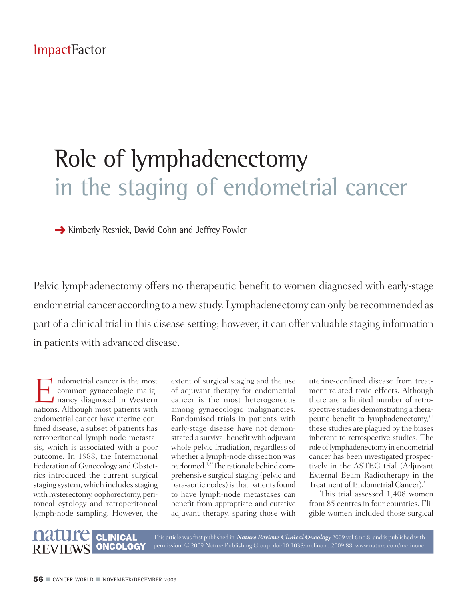## Role of lymphadenectomy in the staging of endometrial cancer

**→** Kimberly Resnick, David Cohn and Jeffrey Fowler

Pelvic lymphadenectomy offers no therapeutic benefit to women diagnosed with early-stage endometrial cancer according to a newstudy. Lymphadenectomy can only be recommended as part of a clinical trial in this disease setting; however, it can offer valuable staging information in patients with advanced disease.

Indometrial cancer is the most<br>common gynaecologic malig-<br>nancy diagnosed in Western<br>nations Although most patients with common gynaecologic malignancy diagnosed in Western nations. Although most patients with endometrial cancer have uterine-confined disease, a subset of patients has retroperitoneal lymph-node metastasis, which is associated with a poor outcome. In 1988, the International Federation of Gynecology and Obstetrics introduced the current surgical staging system, which includes staging with hysterectomy, oophorectomy, peritoneal cytology and retroperitoneal lymph-node sampling. However, the

extent of surgical staging and the use of adjuvant therapy for endometrial cancer is the most heterogeneous among gynaecologic malignancies. Randomised trials in patients with early-stage disease have not demonstrated a survival benefit with adjuvant whole pelvic irradiation, regardless of whether a lymph-node dissection was performed.<sup>1,2</sup> The rationale behind comprehensive surgical staging (pelvic and para-aortic nodes) is that patients found to have lymph-node metastases can benefit from appropriate and curative adjuvant therapy, sparing those with

uterine-confined disease from treatment-related toxic effects. Although there are a limited number of retrospective studies demonstrating a therapeutic benefit to lymphadenectomy, 3,4 these studies are plagued by the biases inherent to retrospective studies. The role of lymphadenectomy in endometrial cancer has been investigated prospectively in the ASTEC trial (Adjuvant External Beam Radiotherapy in the Treatment of Endometrial Cancer). 5

This trial assessed 1,408 women from 85 centres in four countries. Eligible women included those surgical



This article wasfirst published in *Nature Reviews Clinical Oncology* 2009 vol.6 no.8, and is published with permission. © 2009 Nature Publishing Group. doi:10.1038/nrclinonc.2009.88, www.nature.com/nrclinonc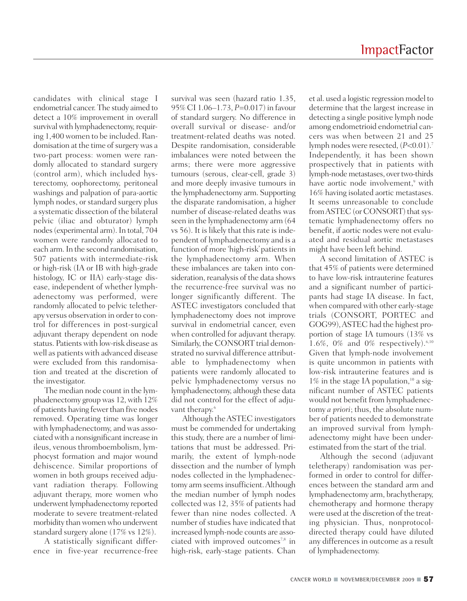candidates with clinical stage I endometrial cancer. The study aimed to detect a 10% improvement in overall survival with lymphadenectomy, requiring 1,400 women to be included. Randomisation at the time of surgery was a two-part process: women were randomly allocated to standard surgery (control arm), which included hysterectomy, oophorectomy, peritoneal washings and palpation of para-aortic lymph nodes, or standard surgery plus a systematic dissection of the bilateral pelvic (iliac and obturator) lymph nodes (experimental arm). In total, 704 women were randomly allocated to each arm.In the second randomisation, 507 patients with intermediate-risk or high-risk (IA or IB with high-grade histology, IC or IIA) early-stage disease, independent of whether lymphadenectomy was performed, were randomly allocated to pelvic teletherapy versus observation in order to control for differences in post-surgical adjuvant therapy dependent on node status. Patients with low-risk disease as well as patients with advanced disease were excluded from this randomisation and treated at the discretion of the investigator.

The median node count in the lymphadenectomy groupwas 12,with 12% of patients having fewerthan five nodes removed. Operating time was longer with lymphadenectomy, and was associatedwith a nonsignificant increase in ileus, venous thromboembolism, lymphocyst formation and major wound dehiscence. Similar proportions of women in both groups received adjuvant radiation therapy. Following adjuvant therapy, more women who underwent lymphadenectomy reported moderate to severe treatment-related morbidity than women who underwent standard surgery alone (17% vs 12%).

A statistically significant difference in five-year recurrence-free

survival was seen (hazard ratio 1.35, 95% CI 1.06–1.73, *P*=0.017) in favour of standard surgery. No difference in overall survival or disease- and/or treatment-related deaths was noted. Despite randomisation, considerable imbalances were noted between the arms; there were more aggressive tumours (serous, clear-cell, grade 3) and more deeply invasive tumours in the lymphadenectomy arm. Supporting the disparate randomisation, a higher number of disease-related deaths was seen in the lymphadenectomy arm (64 vs 56). It is likely that this rate is independent of lymphadenectomy and is a function of more 'high-risk' patients in the lymphadenectomy arm. When these imbalances are taken into consideration, reanalysis of the data shows the recurrence-free survival was no longer significantly different. The ASTEC investigators concluded that lymphadenectomy does not improve survival in endometrial cancer, even when controlled for adjuvant therapy. Similarly, the CONSORT trial demonstrated no survival difference attributable to lymphadenectomy when patients were randomly allocated to pelvic lymphadenectomy versus no lymphadenectomy, although these data did not control for the effect of adjuvant therapy. 6

Although theASTEC investigators must be commended for undertaking this study, there are a number of limitations that must be addressed. Primarily, the extent of lymph-node dissection and the number of lymph nodes collected in the lymphadenectomy arm seems insufficient. Although the median number of lymph nodes collected was 12, 35% of patients had fewer than nine nodes collected. A number of studies have indicated that increased lymph-node counts are associated with improved outcomes<sup>7,8</sup> in high-risk, early-stage patients. Chan

et al. used a logistic regression model to determine that the largest increase in detecting a single positive lymph node among endometrioid endometrial cancers was when between 21 and 25 lymph nodes were resected, (*P*<0.01). 7 Independently, it has been shown prospectively that in patients with lymph-node metastases, over two-thirds have aortic node involvement, <sup>9</sup> with 16% having isolated aortic metastases. It seems unreasonable to conclude from ASTEC (or CONSORT) that systematic lymphadenectomy offers no benefit, if aortic nodes were not evaluated and residual aortic metastases might have been left behind.

A second limitation of ASTEC is that 45% of patients were determined to have low-risk intrauterine features and a significant number of participants had stage IA disease. In fact, when compared with other early-stage trials (CONSORT, PORTEC and GOG99),ASTEC had the highest proportion of stage IA tumours (13% vs 1.6%, 0% and 0% respectively). 6,10 Given that lymph-node involvement is quite uncommon in patients with low-risk intrauterine features and is  $1\%$  in the stage IA population,<sup>10</sup> a significant number of ASTEC patients would not benefit from lymphadenectomy *a priori*; thus, the absolute number of patients needed to demonstrate an improved survival from lymphadenectomy might have been underestimated from the start of the trial.

Although the second (adjuvant teletherapy) randomisation was performed in order to control for differences between the standard arm and lymphadenectomy arm, brachytherapy, chemotherapy and hormone therapy were used at the discretion of the treating physician. Thus, nonprotocoldirected therapy could have diluted any differences in outcome as a result of lymphadenectomy.